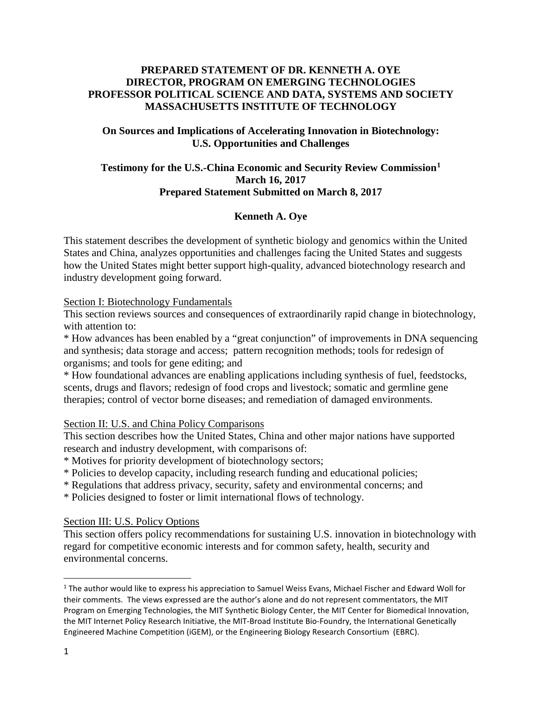### **PREPARED STATEMENT OF DR. KENNETH A. OYE DIRECTOR, PROGRAM ON EMERGING TECHNOLOGIES PROFESSOR POLITICAL SCIENCE AND DATA, SYSTEMS AND SOCIETY MASSACHUSETTS INSTITUTE OF TECHNOLOGY**

### **On Sources and Implications of Accelerating Innovation in Biotechnology: U.S. Opportunities and Challenges**

# **Testimony for the U.S.-China Economic and Security Review Commission[1](#page-0-0) March 16, 2017 Prepared Statement Submitted on March 8, 2017**

# **Kenneth A. Oye**

This statement describes the development of synthetic biology and genomics within the United States and China, analyzes opportunities and challenges facing the United States and suggests how the United States might better support high-quality, advanced biotechnology research and industry development going forward.

### Section I: Biotechnology Fundamentals

This section reviews sources and consequences of extraordinarily rapid change in biotechnology, with attention to:

\* How advances has been enabled by a "great conjunction" of improvements in DNA sequencing and synthesis; data storage and access; pattern recognition methods; tools for redesign of organisms; and tools for gene editing; and

\* How foundational advances are enabling applications including synthesis of fuel, feedstocks, scents, drugs and flavors; redesign of food crops and livestock; somatic and germline gene therapies; control of vector borne diseases; and remediation of damaged environments.

# Section II: U.S. and China Policy Comparisons

This section describes how the United States, China and other major nations have supported research and industry development, with comparisons of:

\* Motives for priority development of biotechnology sectors;

\* Policies to develop capacity, including research funding and educational policies;

\* Regulations that address privacy, security, safety and environmental concerns; and

\* Policies designed to foster or limit international flows of technology.

### Section III: U.S. Policy Options

This section offers policy recommendations for sustaining U.S. innovation in biotechnology with regard for competitive economic interests and for common safety, health, security and environmental concerns.

<span id="page-0-0"></span><sup>&</sup>lt;sup>1</sup> The author would like to express his appreciation to Samuel Weiss Evans, Michael Fischer and Edward Woll for their comments. The views expressed are the author's alone and do not represent commentators, the MIT Program on Emerging Technologies, the MIT Synthetic Biology Center, the MIT Center for Biomedical Innovation, the MIT Internet Policy Research Initiative, the MIT-Broad Institute Bio-Foundry, the International Genetically Engineered Machine Competition (iGEM), or the Engineering Biology Research Consortium (EBRC).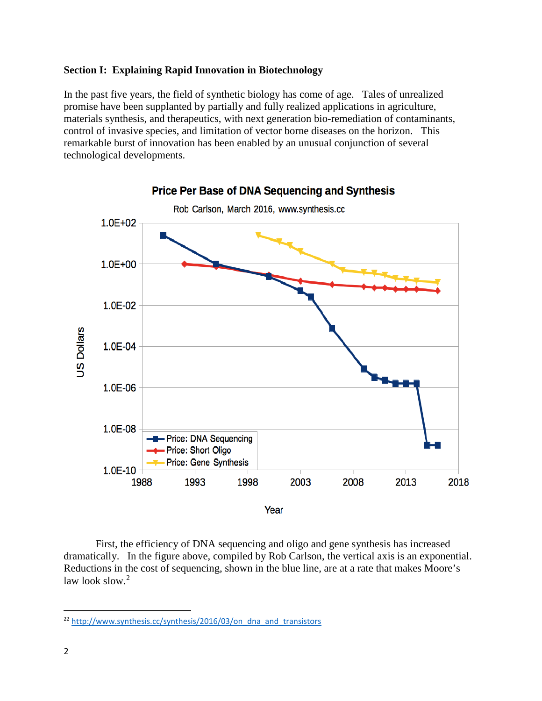### **Section I: Explaining Rapid Innovation in Biotechnology**

In the past five years, the field of synthetic biology has come of age. Tales of unrealized promise have been supplanted by partially and fully realized applications in agriculture, materials synthesis, and therapeutics, with next generation bio-remediation of contaminants, control of invasive species, and limitation of vector borne diseases on the horizon. This remarkable burst of innovation has been enabled by an unusual conjunction of several technological developments.



First, the efficiency of DNA sequencing and oligo and gene synthesis has increased dramatically. In the figure above, compiled by Rob Carlson, the vertical axis is an exponential. Reductions in the cost of sequencing, shown in the blue line, are at a rate that makes Moore's law look slow.<sup>[2](#page-1-0)</sup>

<span id="page-1-0"></span> <sup>22</sup> [http://www.synthesis.cc/synthesis/2016/03/on\\_dna\\_and\\_transistors](http://www.synthesis.cc/synthesis/2016/03/on_dna_and_transistors)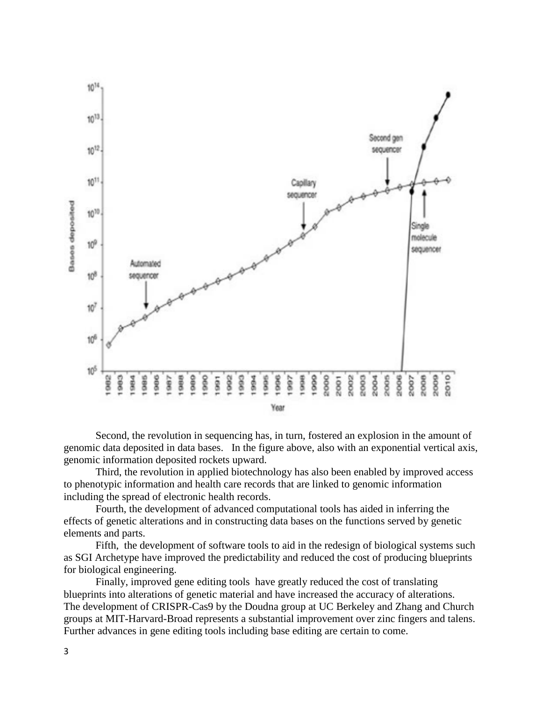

 Second, the revolution in sequencing has, in turn, fostered an explosion in the amount of genomic data deposited in data bases. In the figure above, also with an exponential vertical axis, genomic information deposited rockets upward.

Third, the revolution in applied biotechnology has also been enabled by improved access to phenotypic information and health care records that are linked to genomic information including the spread of electronic health records.

Fourth, the development of advanced computational tools has aided in inferring the effects of genetic alterations and in constructing data bases on the functions served by genetic elements and parts.

Fifth, the development of software tools to aid in the redesign of biological systems such as SGI Archetype have improved the predictability and reduced the cost of producing blueprints for biological engineering.

Finally, improved gene editing tools have greatly reduced the cost of translating blueprints into alterations of genetic material and have increased the accuracy of alterations. The development of CRISPR-Cas9 by the Doudna group at UC Berkeley and Zhang and Church groups at MIT-Harvard-Broad represents a substantial improvement over zinc fingers and talens. Further advances in gene editing tools including base editing are certain to come.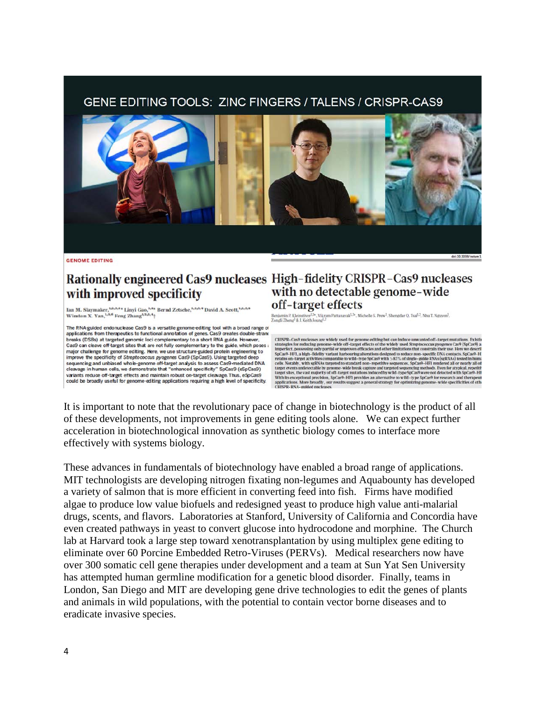# GENE EDITING TOOLS: ZINC FINGERS / TALENS / CRISPR-CAS9



**GENOME EDITING** 

# with improved specificity

Ian M. Slaymaker,<sup>1,2,3,4</sup>\* Linyi Gao,<sup>1,4</sup>\* Bernd Zetsche,<sup>1,2,3,4</sup> David A. Scott,<sup>1,2,3,4</sup> Winston X. Yan,<sup>1,5,6</sup> Feng Zhang<sup>4,2,3,4</sup> †

The RNA-guided endonuclease Cas9 is a versatile genome-editing tool with a broad range of applications from therapeutics to functional annotation of genes. Cas9 creates double-strand<br>breaks (DSBs) at targeted genomic loci complementary to a short RNA guide. However, Cas9 can cleave off-target sites that are not fully complementary to the guide, which poses major challenge for genome editing. Here, we use structure-guided protein engineering to improve the specificity of Streptococcus pyogenes Cas9 (SpCas9). Using targeted deep sequencing and unbiased whole-genome off-target analysis to assess Cas9-mediated DNA cleavage in human cells, we demonstrate that "enhanced specificity" SpCas9 (eSpCas9) variants reduce off-target effects and maintain robust on-target cleavage. Thus, eSoCas9 could be broadly useful for genome-editing applications requiring a high level of specificity.

# Rationally engineered Cas9 nucleases High-fidelity CRISPR-Cas9 nucleases with no detectable genome-wide off-target effects

Benjamin P. Kleinstver-<sup>15</sup>\*, Vikram Pattanayak<sup>1,5\*</sup>, Michelle S. Prew<sup>1</sup>, Shengdar Q. Tsai<sup>1,3</sup>, Nhu T. Nguyen<sup>1</sup>, Zongdi Zheng<sup>3</sup> & J. Keith Joung<sup>1,3+</sup>, Vikram Pattanayak<sup>1,5\*</sup>, Michelle S. Prew<sup>1</sup>, Shengdar Q. Tsai<sup>1,</sup>

 $\textsc{CRISPR}-\textsc{Case}$  mucleases are widely used for genome editing but can induce unwanted off–target mutations. Exist<br>in strategies for reducing genome-wide off–target effects of the widely used Streptooccus progenes Case (Sp target events undetectable by genome-wide break capture and targeted sequencing methods. Even for atypical, repetitivity and target sites, the vast majority of off-target mutations induced by wild-type SpCas9 were not dete With its exceptional precision, SpCas9-HF1 provides an alternative to wild-type SpCas9 for research and therapeut<br>applications. More broadly, our results suggest a general strategy for optimizing genome-wide specificities applications. More broadly<br>CRISPR-RNA-guided nucle

It is important to note that the revolutionary pace of change in biotechnology is the product of all of these developments, not improvements in gene editing tools alone. We can expect further acceleration in biotechnological innovation as synthetic biology comes to interface more effectively with systems biology.

These advances in fundamentals of biotechnology have enabled a broad range of applications. MIT technologists are developing nitrogen fixating non-legumes and Aquabounty has developed a variety of salmon that is more efficient in converting feed into fish. Firms have modified algae to produce low value biofuels and redesigned yeast to produce high value anti-malarial drugs, scents, and flavors. Laboratories at Stanford, University of California and Concordia have even created pathways in yeast to convert glucose into hydrocodone and morphine. The Church lab at Harvard took a large step toward xenotransplantation by using multiplex gene editing to eliminate over 60 Porcine Embedded Retro-Viruses (PERVs). Medical researchers now have over 300 somatic cell gene therapies under development and a team at Sun Yat Sen University has attempted human germline modification for a genetic blood disorder. Finally, teams in London, San Diego and MIT are developing gene drive technologies to edit the genes of plants and animals in wild populations, with the potential to contain vector borne diseases and to eradicate invasive species.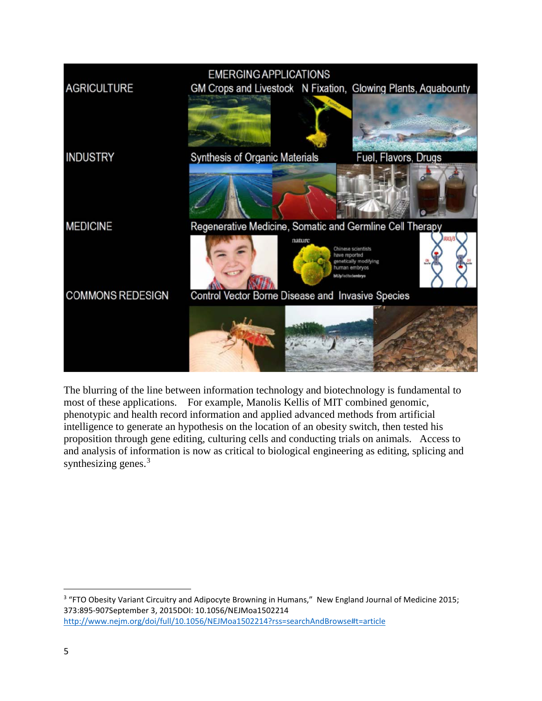

The blurring of the line between information technology and biotechnology is fundamental to most of these applications. For example, Manolis Kellis of MIT combined genomic, phenotypic and health record information and applied advanced methods from artificial intelligence to generate an hypothesis on the location of an obesity switch, then tested his proposition through gene editing, culturing cells and conducting trials on animals. Access to and analysis of information is now as critical to biological engineering as editing, splicing and synthesizing genes.<sup>[3](#page-4-0)</sup>

<span id="page-4-0"></span><sup>&</sup>lt;sup>3</sup> "FTO Obesity Variant Circuitry and Adipocyte Browning in Humans," New England Journal of Medicine 2015; 373:895-907September 3, 2015DOI: 10.1056/NEJMoa1502214 <http://www.nejm.org/doi/full/10.1056/NEJMoa1502214?rss=searchAndBrowse#t=article>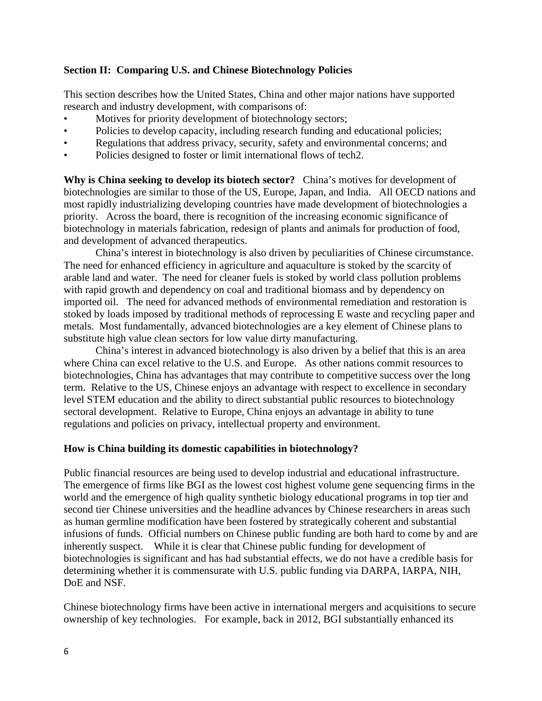### **Section II: Comparing U.S. and Chinese Biotechnology Policies**

This section describes how the United States, China and other major nations have supported research and industry development, with comparisons of:

- Motives for priority development of biotechnology sectors;
- Policies to develop capacity, including research funding and educational policies;
- Regulations that address privacy, security, safety and environmental concerns; and
- Policies designed to foster or limit international flows of tech2.

**Why is China seeking to develop its biotech sector?** China's motives for development of biotechnologies are similar to those of the US, Europe, Japan, and India. All OECD nations and most rapidly industrializing developing countries have made development of biotechnologies a priority. Across the board, there is recognition of the increasing economic significance of biotechnology in materials fabrication, redesign of plants and animals for production of food, and development of advanced therapeutics.

China's interest in biotechnology is also driven by peculiarities of Chinese circumstance. The need for enhanced efficiency in agriculture and aquaculture is stoked by the scarcity of arable land and water. The need for cleaner fuels is stoked by world class pollution problems with rapid growth and dependency on coal and traditional biomass and by dependency on imported oil. The need for advanced methods of environmental remediation and restoration is stoked by loads imposed by traditional methods of reprocessing E waste and recycling paper and metals. Most fundamentally, advanced biotechnologies are a key element of Chinese plans to substitute high value clean sectors for low value dirty manufacturing.

China's interest in advanced biotechnology is also driven by a belief that this is an area where China can excel relative to the U.S. and Europe. As other nations commit resources to biotechnologies, China has advantages that may contribute to competitive success over the long term. Relative to the US, Chinese enjoys an advantage with respect to excellence in secondary level STEM education and the ability to direct substantial public resources to biotechnology sectoral development. Relative to Europe, China enjoys an advantage in ability to tune regulations and policies on privacy, intellectual property and environment.

### **How is China building its domestic capabilities in biotechnology?**

Public financial resources are being used to develop industrial and educational infrastructure. The emergence of firms like BGI as the lowest cost highest volume gene sequencing firms in the world and the emergence of high quality synthetic biology educational programs in top tier and second tier Chinese universities and the headline advances by Chinese researchers in areas such as human germline modification have been fostered by strategically coherent and substantial infusions of funds. Official numbers on Chinese public funding are both hard to come by and are inherently suspect. While it is clear that Chinese public funding for development of biotechnologies is significant and has had substantial effects, we do not have a credible basis for determining whether it is commensurate with U.S. public funding via DARPA, IARPA, NIH, DoE and NSF.

Chinese biotechnology firms have been active in international mergers and acquisitions to secure ownership of key technologies. For example, back in 2012, BGI substantially enhanced its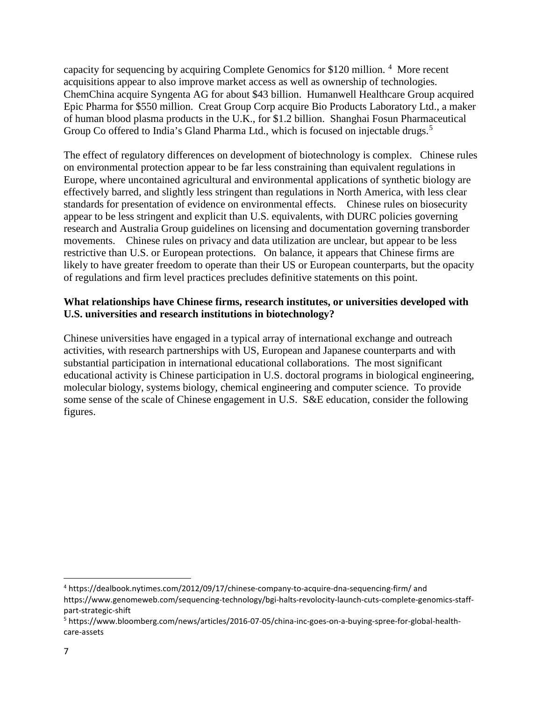capacity for sequencing by acquiring Complete Genomics for \$120 million.<sup>[4](#page-6-0)</sup> More recent acquisitions appear to also improve market access as well as ownership of technologies. ChemChina acquire Syngenta AG for about \$43 billion. Humanwell Healthcare Group acquired Epic Pharma for \$550 million. Creat Group Corp acquire Bio Products Laboratory Ltd., a maker of human blood plasma products in the U.K., for \$1.2 billion. Shanghai Fosun Pharmaceutical Group Co offered to India's Gland Pharma Ltd., which is focused on injectable drugs.<sup>[5](#page-6-1)</sup>

The effect of regulatory differences on development of biotechnology is complex. Chinese rules on environmental protection appear to be far less constraining than equivalent regulations in Europe, where uncontained agricultural and environmental applications of synthetic biology are effectively barred, and slightly less stringent than regulations in North America, with less clear standards for presentation of evidence on environmental effects. Chinese rules on biosecurity appear to be less stringent and explicit than U.S. equivalents, with DURC policies governing research and Australia Group guidelines on licensing and documentation governing transborder movements. Chinese rules on privacy and data utilization are unclear, but appear to be less restrictive than U.S. or European protections. On balance, it appears that Chinese firms are likely to have greater freedom to operate than their US or European counterparts, but the opacity of regulations and firm level practices precludes definitive statements on this point.

# **What relationships have Chinese firms, research institutes, or universities developed with U.S. universities and research institutions in biotechnology?**

Chinese universities have engaged in a typical array of international exchange and outreach activities, with research partnerships with US, European and Japanese counterparts and with substantial participation in international educational collaborations. The most significant educational activity is Chinese participation in U.S. doctoral programs in biological engineering, molecular biology, systems biology, chemical engineering and computer science. To provide some sense of the scale of Chinese engagement in U.S. S&E education, consider the following figures.

<span id="page-6-0"></span> <sup>4</sup> https://dealbook.nytimes.com/2012/09/17/chinese-company-to-acquire-dna-sequencing-firm/ and https://www.genomeweb.com/sequencing-technology/bgi-halts-revolocity-launch-cuts-complete-genomics-staffpart-strategic-shift

<span id="page-6-1"></span><sup>5</sup> https://www.bloomberg.com/news/articles/2016-07-05/china-inc-goes-on-a-buying-spree-for-global-healthcare-assets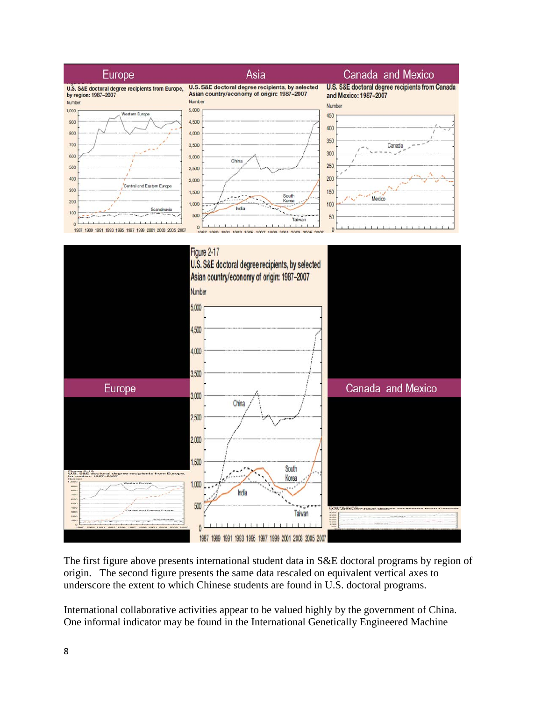

The first figure above presents international student data in S&E doctoral programs by region of origin. The second figure presents the same data rescaled on equivalent vertical axes to underscore the extent to which Chinese students are found in U.S. doctoral programs.

International collaborative activities appear to be valued highly by the government of China. One informal indicator may be found in the International Genetically Engineered Machine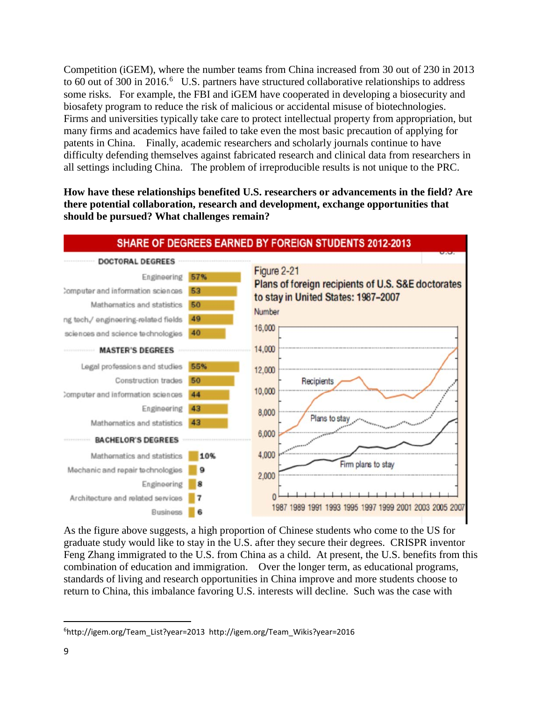Competition (iGEM), where the number teams from China increased from 30 out of 230 in 2013 to [6](#page-8-0)0 out of 300 in 2016.<sup>6</sup> U.S. partners have structured collaborative relationships to address some risks. For example, the FBI and iGEM have cooperated in developing a biosecurity and biosafety program to reduce the risk of malicious or accidental misuse of biotechnologies. Firms and universities typically take care to protect intellectual property from appropriation, but many firms and academics have failed to take even the most basic precaution of applying for patents in China. Finally, academic researchers and scholarly journals continue to have difficulty defending themselves against fabricated research and clinical data from researchers in all settings including China. The problem of irreproducible results is not unique to the PRC.

**How have these relationships benefited U.S. researchers or advancements in the field? Are there potential collaboration, research and development, exchange opportunities that should be pursued? What challenges remain?**



As the figure above suggests, a high proportion of Chinese students who come to the US for graduate study would like to stay in the U.S. after they secure their degrees. CRISPR inventor Feng Zhang immigrated to the U.S. from China as a child. At present, the U.S. benefits from this combination of education and immigration. Over the longer term, as educational programs, standards of living and research opportunities in China improve and more students choose to return to China, this imbalance favoring U.S. interests will decline. Such was the case with

<span id="page-8-0"></span><sup>-&</sup>lt;br>6 http://igem.org/Team\_List?year=2013 http://igem.org/Team\_Wikis?year=2016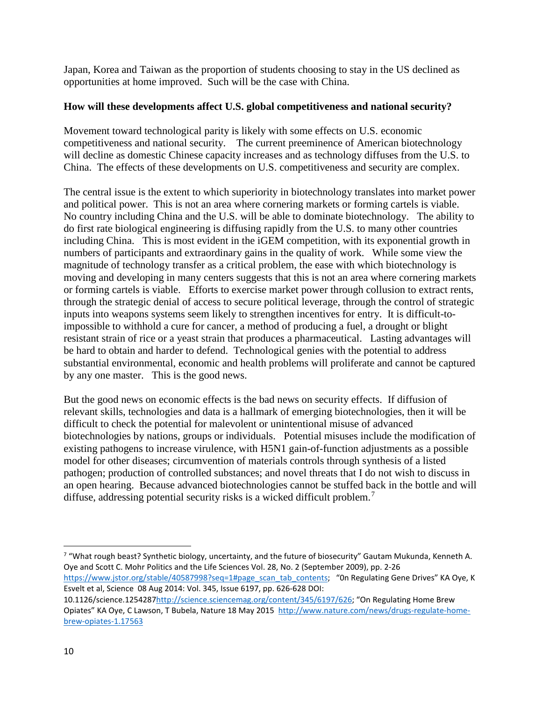Japan, Korea and Taiwan as the proportion of students choosing to stay in the US declined as opportunities at home improved. Such will be the case with China.

### **How will these developments affect U.S. global competitiveness and national security?**

Movement toward technological parity is likely with some effects on U.S. economic competitiveness and national security. The current preeminence of American biotechnology will decline as domestic Chinese capacity increases and as technology diffuses from the U.S. to China. The effects of these developments on U.S. competitiveness and security are complex.

The central issue is the extent to which superiority in biotechnology translates into market power and political power. This is not an area where cornering markets or forming cartels is viable. No country including China and the U.S. will be able to dominate biotechnology. The ability to do first rate biological engineering is diffusing rapidly from the U.S. to many other countries including China. This is most evident in the iGEM competition, with its exponential growth in numbers of participants and extraordinary gains in the quality of work. While some view the magnitude of technology transfer as a critical problem, the ease with which biotechnology is moving and developing in many centers suggests that this is not an area where cornering markets or forming cartels is viable. Efforts to exercise market power through collusion to extract rents, through the strategic denial of access to secure political leverage, through the control of strategic inputs into weapons systems seem likely to strengthen incentives for entry. It is difficult-toimpossible to withhold a cure for cancer, a method of producing a fuel, a drought or blight resistant strain of rice or a yeast strain that produces a pharmaceutical. Lasting advantages will be hard to obtain and harder to defend. Technological genies with the potential to address substantial environmental, economic and health problems will proliferate and cannot be captured by any one master. This is the good news.

But the good news on economic effects is the bad news on security effects. If diffusion of relevant skills, technologies and data is a hallmark of emerging biotechnologies, then it will be difficult to check the potential for malevolent or unintentional misuse of advanced biotechnologies by nations, groups or individuals. Potential misuses include the modification of existing pathogens to increase virulence, with H5N1 gain-of-function adjustments as a possible model for other diseases; circumvention of materials controls through synthesis of a listed pathogen; production of controlled substances; and novel threats that I do not wish to discuss in an open hearing. Because advanced biotechnologies cannot be stuffed back in the bottle and will diffuse, addressing potential security risks is a wicked difficult problem.[7](#page-9-0)

<span id="page-9-0"></span> <sup>7</sup> "What rough beast? Synthetic biology, uncertainty, and the future of biosecurity" Gautam Mukunda, Kenneth A. Oye and Scott C. Mohr Politics and the Life Sciences Vol. 28, No. 2 (September 2009), pp. 2-26 [https://www.jstor.org/stable/40587998?seq=1#page\\_scan\\_tab\\_contents;](https://www.jstor.org/stable/40587998?seq=1#page_scan_tab_contents) "On Regulating Gene Drives" KA Oye, K Esvelt et al, Science 08 Aug 2014: Vol. 345, Issue 6197, pp. 626-628 DOI:

<sup>10.1126/</sup>science.125428[7http://science.sciencemag.org/content/345/6197/626;](http://science.sciencemag.org/content/345/6197/626) "On Regulating Home Brew Opiates" KA Oye, C Lawson, T Bubela, Nature 18 May 2015 [http://www.nature.com/news/drugs-regulate-home](http://www.nature.com/news/drugs-regulate-home-brew-opiates-1.17563)[brew-opiates-1.17563](http://www.nature.com/news/drugs-regulate-home-brew-opiates-1.17563)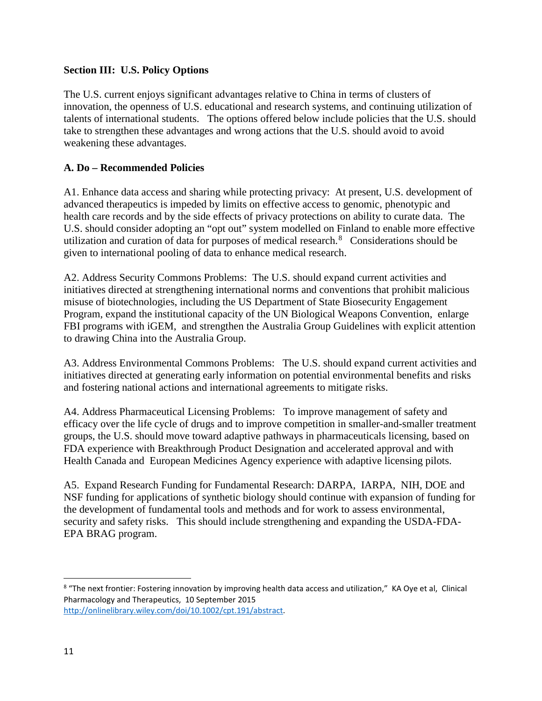# **Section III: U.S. Policy Options**

The U.S. current enjoys significant advantages relative to China in terms of clusters of innovation, the openness of U.S. educational and research systems, and continuing utilization of talents of international students. The options offered below include policies that the U.S. should take to strengthen these advantages and wrong actions that the U.S. should avoid to avoid weakening these advantages.

### **A. Do – Recommended Policies**

A1. Enhance data access and sharing while protecting privacy: At present, U.S. development of advanced therapeutics is impeded by limits on effective access to genomic, phenotypic and health care records and by the side effects of privacy protections on ability to curate data. The U.S. should consider adopting an "opt out" system modelled on Finland to enable more effective utilization and curation of data for purposes of medical research.<sup>[8](#page-10-0)</sup> Considerations should be given to international pooling of data to enhance medical research.

A2. Address Security Commons Problems: The U.S. should expand current activities and initiatives directed at strengthening international norms and conventions that prohibit malicious misuse of biotechnologies, including the US Department of State Biosecurity Engagement Program, expand the institutional capacity of the UN Biological Weapons Convention, enlarge FBI programs with iGEM, and strengthen the Australia Group Guidelines with explicit attention to drawing China into the Australia Group.

A3. Address Environmental Commons Problems: The U.S. should expand current activities and initiatives directed at generating early information on potential environmental benefits and risks and fostering national actions and international agreements to mitigate risks.

A4. Address Pharmaceutical Licensing Problems: To improve management of safety and efficacy over the life cycle of drugs and to improve competition in smaller-and-smaller treatment groups, the U.S. should move toward adaptive pathways in pharmaceuticals licensing, based on FDA experience with Breakthrough Product Designation and accelerated approval and with Health Canada and European Medicines Agency experience with adaptive licensing pilots.

A5. Expand Research Funding for Fundamental Research: DARPA, IARPA, NIH, DOE and NSF funding for applications of synthetic biology should continue with expansion of funding for the development of fundamental tools and methods and for work to assess environmental, security and safety risks. This should include strengthening and expanding the USDA-FDA-EPA BRAG program.

<span id="page-10-0"></span><sup>&</sup>lt;sup>8</sup> "The next frontier: Fostering innovation by improving health data access and utilization," KA Oye et al, Clinical Pharmacology and Therapeutics, 10 September 2015 [http://onlinelibrary.wiley.com/doi/10.1002/cpt.191/abstract.](http://onlinelibrary.wiley.com/doi/10.1002/cpt.191/abstract)